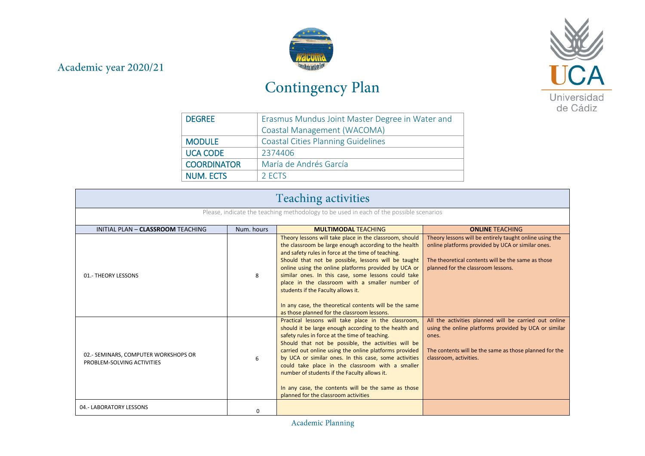## Academic year 2020/21



## Contingency Plan



| <b>DEGREE</b>      | Erasmus Mundus Joint Master Degree in Water and |  |  |
|--------------------|-------------------------------------------------|--|--|
|                    | Coastal Management (WACOMA)                     |  |  |
| <b>MODULE</b>      | <b>Coastal Cities Planning Guidelines</b>       |  |  |
| <b>UCA CODE</b>    | 2374406                                         |  |  |
| <b>COORDINATOR</b> | María de Andrés García                          |  |  |
| <b>NUM. ECTS</b>   | 2 FCTS                                          |  |  |

| <b>Teaching activities</b>                                                             |            |                                                                                                                                                                                                                                                                                                                                                                                                                                                                                                                                                |                                                                                                                                                                                                             |
|----------------------------------------------------------------------------------------|------------|------------------------------------------------------------------------------------------------------------------------------------------------------------------------------------------------------------------------------------------------------------------------------------------------------------------------------------------------------------------------------------------------------------------------------------------------------------------------------------------------------------------------------------------------|-------------------------------------------------------------------------------------------------------------------------------------------------------------------------------------------------------------|
| Please, indicate the teaching methodology to be used in each of the possible scenarios |            |                                                                                                                                                                                                                                                                                                                                                                                                                                                                                                                                                |                                                                                                                                                                                                             |
| INITIAL PLAN - CLASSROOM TEACHING                                                      | Num, hours | <b>MULTIMODAL TEACHING</b>                                                                                                                                                                                                                                                                                                                                                                                                                                                                                                                     | <b>ONLINE TEACHING</b>                                                                                                                                                                                      |
| 01.- THEORY LESSONS                                                                    | 8          | Theory lessons will take place in the classroom, should<br>the classroom be large enough according to the health<br>and safety rules in force at the time of teaching.<br>Should that not be possible, lessons will be taught<br>online using the online platforms provided by UCA or<br>similar ones. In this case, some lessons could take<br>place in the classroom with a smaller number of<br>students if the Faculty allows it.<br>In any case, the theoretical contents will be the same<br>as those planned for the classroom lessons. | Theory lessons will be entirely taught online using the<br>online platforms provided by UCA or similar ones.<br>The theoretical contents will be the same as those<br>planned for the classroom lessons.    |
| 02.- SEMINARS, COMPUTER WORKSHOPS OR<br>PROBLEM-SOLVING ACTIVITIES                     | 6          | Practical lessons will take place in the classroom,<br>should it be large enough according to the health and<br>safety rules in force at the time of teaching.<br>Should that not be possible, the activities will be<br>carried out online using the online platforms provided<br>by UCA or similar ones. In this case, some activities<br>could take place in the classroom with a smaller<br>number of students if the Faculty allows it.<br>In any case, the contents will be the same as those<br>planned for the classroom activities    | All the activities planned will be carried out online<br>using the online platforms provided by UCA or similar<br>ones.<br>The contents will be the same as those planned for the<br>classroom, activities. |
| 04.- LABORATORY LESSONS                                                                | O          |                                                                                                                                                                                                                                                                                                                                                                                                                                                                                                                                                |                                                                                                                                                                                                             |

Academic Planning